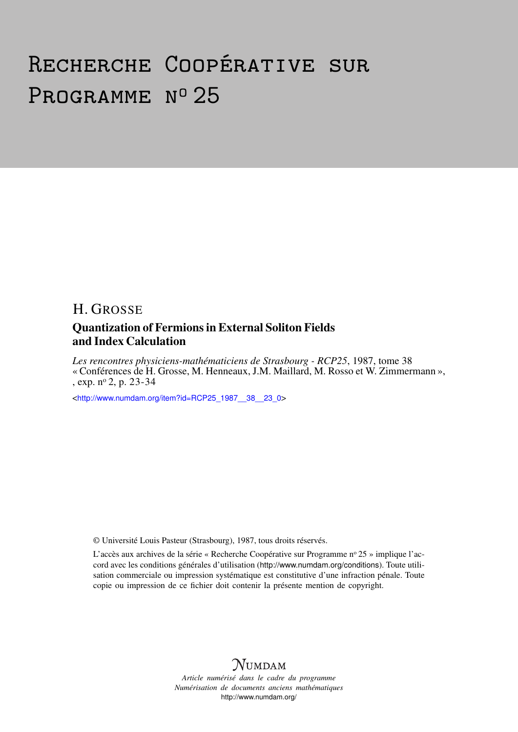# Recherche Coopérative sur PROGRAMME Nº 25

# H. GROSSE Quantization of Fermions in External Soliton Fields and Index Calculation

*Les rencontres physiciens-mathématiciens de Strasbourg - RCP25*, 1987, tome 38 « Conférences de H. Grosse, M. Henneaux, J.M. Maillard, M. Rosso et W. Zimmermann », , exp. n<sup>o</sup> 2, p. 23-34

<[http://www.numdam.org/item?id=RCP25\\_1987\\_\\_38\\_\\_23\\_0](http://www.numdam.org/item?id=RCP25_1987__38__23_0)>

© Université Louis Pasteur (Strasbourg), 1987, tous droits réservés.

L'accès aux archives de la série « Recherche Coopérative sur Programme nº 25 » implique l'accord avec les conditions générales d'utilisation (<http://www.numdam.org/conditions>). Toute utilisation commerciale ou impression systématique est constitutive d'une infraction pénale. Toute copie ou impression de ce fichier doit contenir la présente mention de copyright.



*Article numérisé dans le cadre du programme Numérisation de documents anciens mathématiques* <http://www.numdam.org/>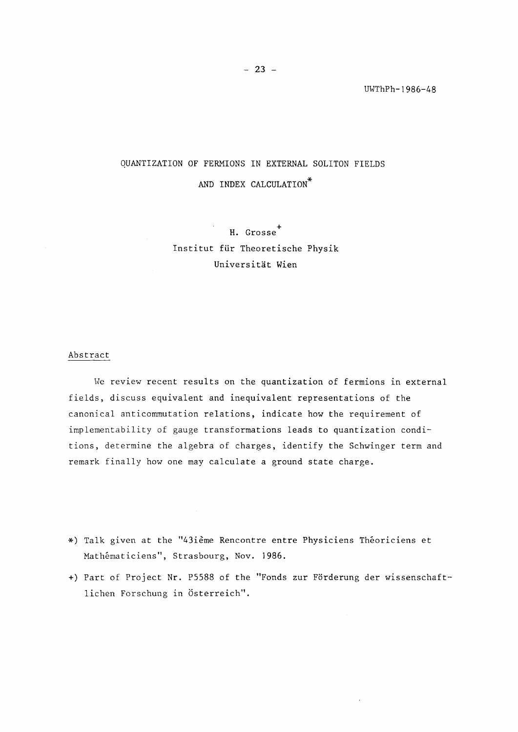# QUANTIZATION OF FERMIONS IN EXTERNAL SOLITON FIELDS AND INDEX CALCULATION\*

H. Grosse<sup>+</sup> Institut für Theoretische Physik Universitat Wien

# Abstract

We review recent results on the quantization of fermions in external fields, discuss equivalent and inequivalent representations of the canonical anticommutation relations, indicate how the requirement of implementability of gauge transformations leads to quantization conditions, détermine the algebra of charges, identify the Schwinger term and remark finally how one may calculate a ground state charge.

- \*) Talk given at the fî43ième Rencontre entre Physiciens Théoriciens et Mathématiciens", Strasbourg, Nov. 1986.
- +) Part of Project Nr. P5588 of the "Fonds zur Förderung der wissenschaft lichen Forschung in Österreich".

 $\bar{a}$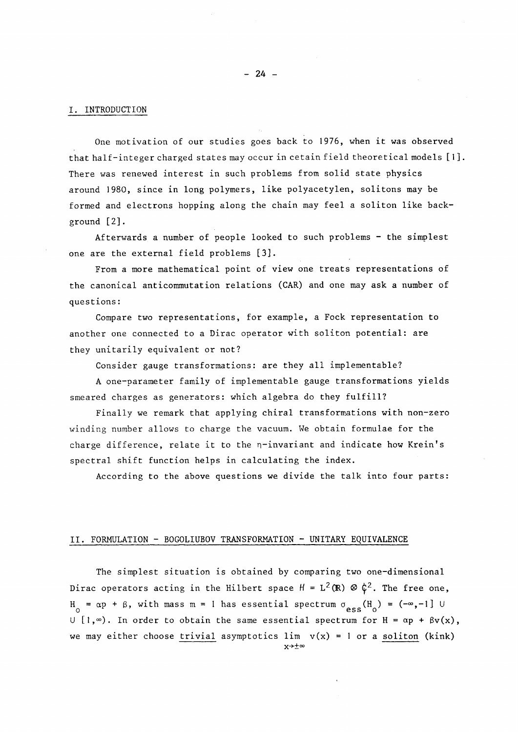## I. INTRODUCTION

One motivation of our studies goes back to 1976, when it was observed that half-integer charged states may occur in cetain field theoretical models  $[1]$ . There was renewed interest in such problems from solid state physics around 1980, since in long polymers, like polyacetylen, solitons may be formed and électrons hopping along the chain may feel a soliton like background [2]·

Afterwards a number of people looked to such problems - the simplest one are the external field problems [3]·

From a more mathematical point of view one treats representations of the canonical anticommutation relations (CAR) and one may ask a number of questions :

Compare two representations, for example, a Fock representation to another one connected to a Dirac operator with soliton potential: are they unitarily equivalent or not?

Consider gauge transformations: are they all implementable?

A one-parameter family of implementable gauge transformations yields smeared charges as generators: which algebra do they fulfill?

Finally we remark that applying chiral transformations with non-zero winding number allows to charge the vacuum. We obtain formulae for the charge difference, relate it to the  $n$ -invariant and indicate how Krein's spectral shift function helps in calculating the index.

According to the above questions we divide the talk into four parts:

### II. FORMULATION - B0G0LIUB0V TRANSFORMATION - UNITARY EQUIVALENCE

The simplest situation is obtained by comparing two one-dimensional Dirac operators acting in the Hilbert space  $H = L^2(\mathbb{R}) \, \otimes \, \zeta^2.$  The free one,  $H_0 = \alpha p + \beta$ , with mass m = 1 has essential spectrum  $\sigma_{\text{ess}}(H_0) = (-\infty, -1]$  U U [1, $\infty$ ). In order to obtain the same essential spectrum for H =  $\alpha$ p +  $\beta$ v(x), we may either choose trivial asymptotics  $\lim_{x \to a} v(x) = 1$  or a soliton (kink) x->±°°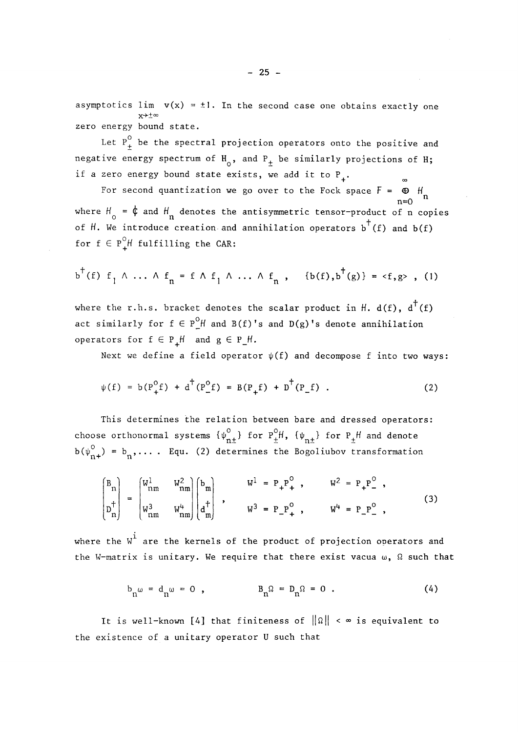asymptotics lim  $v(x) = \pm 1$ . In the second case one obtains exactly one  $x \rightarrow 0$ zero energy bound state.

Let  $P_+^0$  be the spectral projection operators onto the positive and negative energy spectrum of  $H_0$ , and  $P_+$  be similarly projections of H; if a zero energy bound state exists, we add it to  $P_1$ .

For second quantization we go over to the Fock space  $F = \oplus H$ n=0 n where  $H_0 = \oint$  and  $H_n$  denotes the antisymmetric tensor-product of n copies of H. We introduce creation and annihilation operators  $b^+(f)$  and  $b(f)$ for  $f \in P^0$ *H* fulfilling the CAR:

$$
b^{\dagger}(f)
$$
  $f_{1} \wedge ... \wedge f_{n} = f \wedge f_{1} \wedge ... \wedge f_{n}$ ,  $\{b(f), b^{\dagger}(g)\} = \langle f, g \rangle$ , (1)

where the r.h.s. bracket denotes the scalar product in H. d(f),  $d^{\dagger}(f)$ act similarly for  $f \in P^0$  and  $B(f)'$ s and  $D(g)'$ s denote annihilation operators for  $f \in P$ <sup>H</sup> and  $g \in P$ <sup>H</sup>.

Next we define a field operator  $\psi(f)$  and decompose f into two ways:

$$
\psi(f) = b(P_+^0 f) + d^+(P_-^0 f) = B(P_+ f) + D^+(P_- f) .
$$
 (2)

This détermines the relation between bare and dressed operators: choose orthonormal systems  $\{ \psi_{n+} \}$  for  $\mathsf{P}_+ \mathsf{H}$ ,  $\{ \psi_{n+} \}$  for  $\mathsf{P}_+ \mathsf{H}$  and denote  $\mathsf{D}(\Psi_{n+})$  =  $\mathsf{D}_n,\ldots$  . Equ. (2) determines the Bogoliubov transformation

$$
\begin{pmatrix} B_{n} \\ p_{n}^+ \\ p_{n}^+ \end{pmatrix} = \begin{pmatrix} W_{nm}^1 & W_{nm}^2 \\ W_{nm}^3 & W_{nm}^4 \\ W_{nm}^3 & W_{nm}^4 \end{pmatrix} \begin{pmatrix} b_{m} \\ d_{m}^+ \end{pmatrix} , \qquad W^1 = P_+ P_+^0 , \qquad W^2 = P_+ P_-^0 ,
$$
 (3)

where the  $W^{\text{1}}$  are the kernels of the product of projection operators and the W-matrix is unitary. We require that there exist vacua  $\omega$ ,  $\Omega$  such that

$$
b_n \omega = d_n \omega = 0 , \qquad B_n \Omega = D_n \Omega = 0 . \qquad (4)
$$

It is well-known [4] that finiteness of  $\|\Omega\| < \infty$  is equivalent to the existence of a unitary operator U such that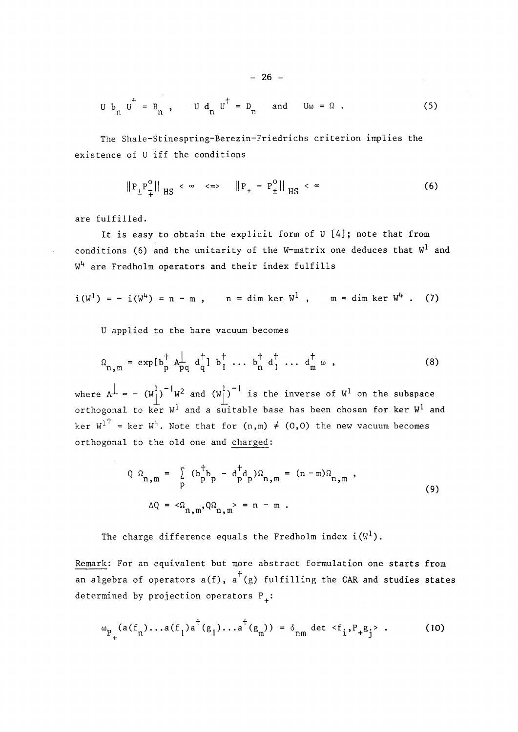$$
U b_n U^{\dagger} = B_n
$$
,  $U d_n U^{\dagger} = D_n$  and  $U \omega = \Omega$ . (5)

The Shale-Stinespring-Berezin-Friedrichs criterion implies the existence of U iff the conditions

$$
\|P_{\pm}P_{\mp}^{0}\|_{HS} < \infty \quad \Longleftrightarrow \quad \|P_{\pm} - P_{\pm}^{0}\|_{HS} < \infty \tag{6}
$$

are fulfilled.

It is easy to obtain the explicit form of U [4]; note that from conditions (6) and the unitarity of the W-matrix one deduces that  $W<sup>1</sup>$  and  $W^4$  are Fredholm operators and their index fulfills

$$
i(W^1) = -i(W^4) = n - m
$$
,  $n = \dim \ker W^1$ ,  $m = \dim \ker W^4$ . (7)

U applied to the bare vacuum becomes

$$
\Omega_{n,m} = \exp\left[\begin{array}{ccccccccc} b_{p}^{\dagger} & A_{pq}^{\dagger} & d_{q}^{\dagger} \end{array}\right] \quad b_{1}^{\dagger} \quad \dots \quad b_{n}^{\dagger} \quad d_{1}^{\dagger} \quad \dots \quad d_{m}^{\dagger} \quad \omega \quad , \tag{8}
$$

where A<sup> $\perp$ </sup> = - (W<sub>j</sub>)  $W^2$  and (W<sub>j</sub>) <sup>'</sup> is the inverse of W<sup>1</sup> on the subspace orthogonal to ker W $^{\rm l}$  and a suitable base has been chosen for  $\ker$   $\mathbb{W}^{\rm l}$  and ker  $W^{1 \dagger}$  = ker W<sup>4</sup>. Note that for  $(n,m) \neq (0,0)$  the new vacuum becomes orthogonal to the old one and charged:

$$
Q \Omega_{n,m} = \sum_{p} (b_p^{\dagger} b_p - d_p^{\dagger} d_p) \Omega_{n,m} = (n-m) \Omega_{n,m},
$$
  

$$
\Delta Q = \langle \Omega_{n,m}, Q \Omega_{n,m} \rangle = n-m.
$$
 (9)

The charge difference equals the Fredholm index  $i(W^l)$ .

Remark: For an equivalent but more abstract formulation one starts from an algebra of operators  $a(f)$ ,  $a^{\dagger}(g)$  fulfilling the CAR and studies states determined by projection operators  $P_+$ :

$$
\omega_{P_{+}}(a(f_{n})...a(f_{l})a^{\dagger}(g_{l})...a^{\dagger}(g_{m})) = \delta_{nm} \det \langle f_{i}, P_{+}g_{j} \rangle . \tag{10}
$$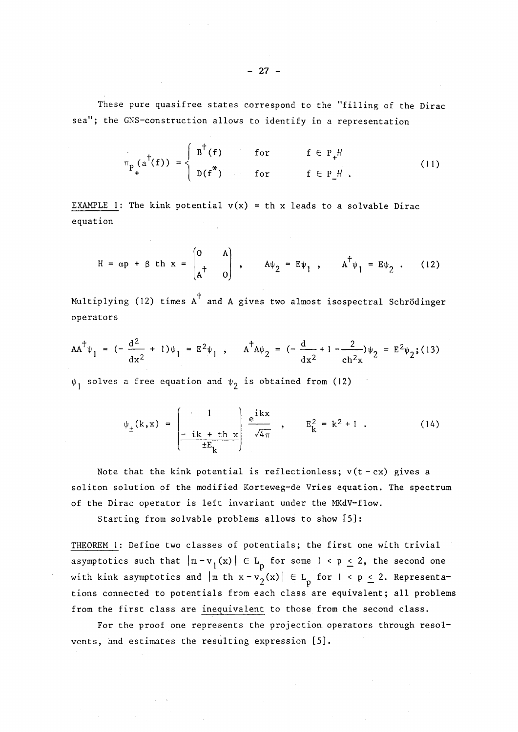These pure quasifree states correspond to the "filling of the Dirac sea"; the GNS-construction allows to identify in a representation

$$
\pi_{p} (a^{\dagger}(f)) = \begin{cases} B^{\dagger}(f) & \text{for} & f \in P_{+}H \\ D(f^{*}) & \text{for} & f \in P_{-}H. \end{cases}
$$
 (11)

EXAMPLE 1: The kink potential  $v(x) = th x$  leads to a solvable Dirac equation

$$
H = \alpha p + \beta \text{ th } x = \begin{pmatrix} 0 & A \\ A^{\dagger} & 0 \end{pmatrix}, \quad A\psi_2 = E\psi_1, \quad A^{\dagger}\psi_1 = E\psi_2.
$$
 (12)

Multiplying (12) times A<sup>+</sup> and A gives two almost isospectral Schrödinger  $\omega$  and  $\omega$  and  $\omega$  and  $\omega$  are A gives two almost isospectral  $\omega$  and  $\omega$  almost isospectral  $\omega$  and  $\omega$  are A gives two almost isospectral Schrodinger isospectral Schrodinger in  $\omega$ 

$$
AA^{\dagger} \psi_1 = (-\frac{d^2}{dx^2} + 1)\psi_1 = E^2 \psi_1, \qquad A^{\dagger} A \psi_2 = (-\frac{d}{dx^2} + 1 - \frac{2}{ch^2 x})\psi_2 = E^2 \psi_2; (13)
$$

 $\psi_1$  solves a free equation and  $\psi_2$  is obtained from (12)

$$
\psi_{\pm}(\mathbf{k}, \mathbf{x}) = \begin{pmatrix} 1 & \frac{1}{2k + \ln x} \\ -\frac{1}{2k + \ln x} & \frac{1}{2k + \ln x} \\ \frac{1}{2k + \ln x} & \frac{1}{2k + \ln x} \end{pmatrix} \xrightarrow{\mathbf{E}_{\mathbf{k}}^{2}} \mathbf{E}_{\mathbf{k}}^{2} = \mathbf{k}^{2} + 1 .
$$
 (14)

Note that the kink potential is reflectionless;  $v(t - cx)$  gives a soliton solution of the modified Korteweg-de Vries équation. The spectrum of the Dirac operator is left invariant under the MKdV-flow.

Starting from solvable problems allows to show [5]:

THEOREM 1: Define two classes of potentials; the first one with trivial asymptotics such that  $|m-v_1(x)| \in L_p$  for some  $l \le p \le 2$ , the second one with kink asymptotics and  $|\text{m th x}-v_2(x)| \in L_p$  for  $1 < p \le 2$ . Representations connected to potentials from each class are equivalent; all problems from the first class are inequivalent to those from the second class.

For the proof one represents the projection operators through resolvents, and estimates the resulting expression [5].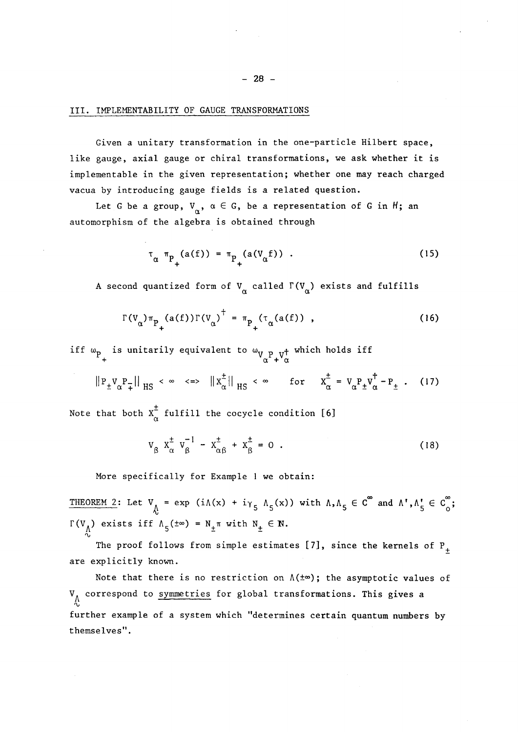# III. IMPLEMENTABILITY OF GAUGE TRANSFORMATIONS

Given a unitary transformation in the one-particle Hilbert space, like gauge, axial gauge or chiral transformations, we ask whether it is implementable in the given representation; whether one may reach charged vacua by introducing gauge fields is a related question.

Let G be a group,  $V_{\alpha}$ ,  $\alpha \in G$ , be a representation of G in H; an automorphism of the algebra is obtained through

$$
\tau_{\alpha} \pi_{P_{+}}(a(f)) = \pi_{P_{+}}(a(V_{\alpha}f)) . \qquad (15)
$$

A second quantized form of  $V_{\alpha}$  called  $\Gamma(V_{\alpha})$  exists and fulfills

$$
\Gamma(V_{\alpha})\pi_{P_{+}}(a(f))\Gamma(V_{\alpha})^{\dagger} = \pi_{P_{+}}(\tau_{\alpha}(a(f)) , \qquad (16)
$$

iff  $\omega_{\bf p}$  is unitarily equivalent to  $\omega_{\bf v}$   $_{\bf p}$   $_{\bf v}$ + which holds iff +  ${}^{\vee}\alpha^{\perp} + {}^{\vee}\alpha$ 

$$
||P_{\pm}V_{\alpha}P_{\mp}||_{HS} < \infty \iff ||X_{\alpha}^{\pm}||_{HS} < \infty \text{ for } X_{\alpha}^{\pm} = V_{\alpha}P_{\pm}V_{\alpha}^{\dagger} - P_{\pm}.
$$
 (17)

Note that both  $X^{\pm}_{\alpha}$  fulfill the cocycle condition [6]

$$
V_{\beta} \t X_{\alpha}^{\pm} \t V_{\beta}^{-1} - X_{\alpha\beta}^{\pm} + X_{\beta}^{\pm} = 0 . \t(18)
$$

More specifically for Example 1 we obtain:

THEOREM 2: Let  $V_A = \exp(i\Lambda(x) + i\gamma_5 \Lambda_5(x))$  with  $\Lambda, \Lambda, \Lambda, \epsilon \in C^\infty$  and  $\Lambda^{\dagger}, \Lambda, \Lambda, \epsilon \in C^\infty$ ; Γ(V<sub>A</sub>) exists iff  $Λ_5(±∞) = N_±π$  with  $N_± ∈ N$ .

The proof follows from simple estimates [7], since the kernels of  $P_+$ are explicitly known.

Note that there is no restriction on  $\Lambda(\pm\infty)$ ; the asymptotic values of  $V_A$  correspond to symmetries for global transformations. This gives a further example of a system which "détermines certain quantum numbers by themselves".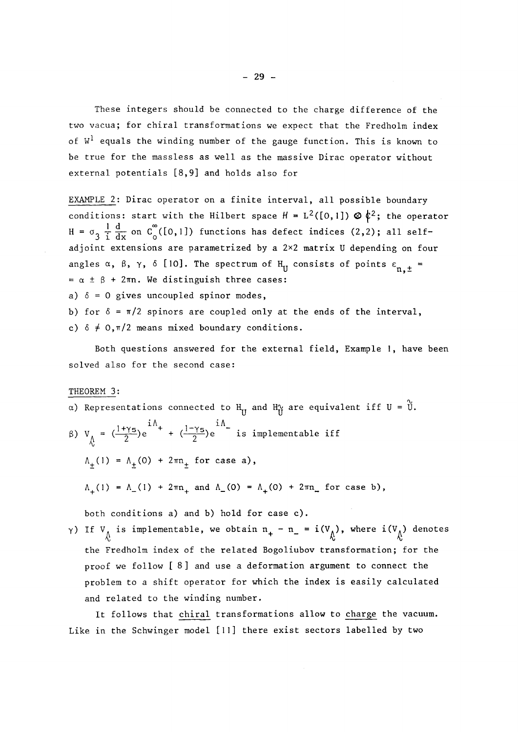These integers should be connected to the charge difference of the two vacua; for chiral transformations we expect that the Fredholm index of  $W^1$  equals the winding number of the gauge function. This is known to be true for the massless as well as the massive Dirac operator without external potentials [8,9] and holds also for

EXAMPLE 2: Dirac operator on a finite interval, all possible boundary conditions: start with the Hilbert space  $H = L^2([0,1]) \otimes \phi^2$ ; the operator  $H = \sigma_3 \frac{1}{i} \frac{d}{dx}$  on  $C_0^{\infty}([0,1])$  functions has defect indices (2,2); all selfadjoint extensions are parametrized by a 2x2 matrix U depending on four angles  $\alpha$ ,  $\beta$ ,  $\gamma$ ,  $\delta$  [10]. The spectrum of H<sub>II</sub> consists of points  $\varepsilon_{n,+}$  =  $= \alpha \pm \beta + 2\pi n$ . We distinguish three cases:

a)  $\delta = 0$  gives uncoupled spinor modes,

b) for  $\delta = \pi/2$  spinors are coupled only at the ends of the interval, c)  $\delta \neq 0, \pi/2$  means mixed boundary conditions.

Both questions answered for the external field, Example 1, have been solved also for the second case:

THEOREM 3:

- $\alpha$ ) Representations connected to  $H_U$  and  $H_V^{\alpha}$  are equivalent iff U =  $\tilde{U}$ .
- $\lambda$   $\lambda$  (-Up (-Up  $\lambda$ )e is implementable iff  $\Lambda_{+}(1) = \Lambda_{+}(0) + 2\pi n_{+}$  for case a),  $\Lambda_{+}(1) = \Lambda_{-}(1) + 2\pi n_{+}$  and  $\Lambda_{-}(0) = \Lambda_{+}(0) + 2\pi n_{-}$  for case b),

both conditions a) and b) hold for case c).

 $\gamma$ ) If  $V_{\Lambda}$  is implementable, we obtain  $n_{+} - n_{-} = i(V_{\Lambda})$ , where  $i(V_{\Lambda})$  denotes the Fredholm index of the related Bogoliubov transformation; for the proof we follow [ 8] and use a déformation argument to connect the problem to a shift operator for which the index is easily calculated and related to the winding number.

It follows that chiral transformations allow to charge the vacuum. Like in the Schwinger model [11] there exist sectors labelled by two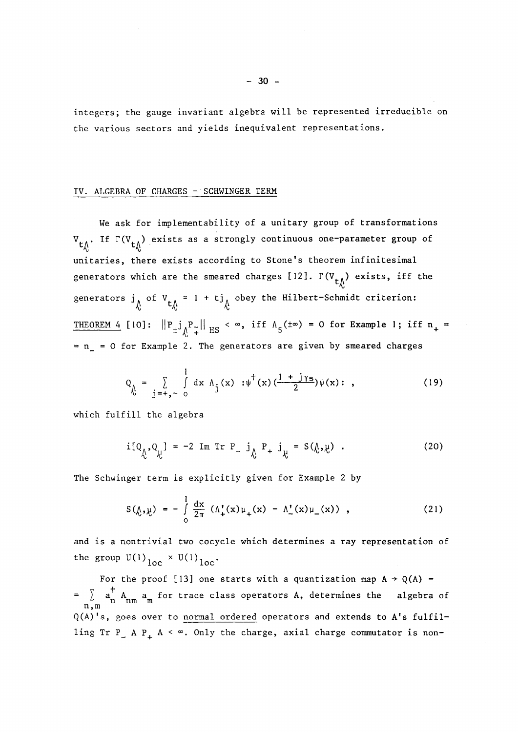integers; the gauge invariant algebra will be represented irreducible on the various sectors and yields inequivalent representations.

### IV. ALGEBRA OF CHARGES - SCHWINGER TERM

We ask for implementability of a unitary group of transformations  $V_{t,\Lambda}$ . If  $\Gamma(V_{t,\Lambda})$  exists as a strongly continuous one-parameter group of unitaries, there exists according to Stone's theorem infinitesimal generators which are the smeared charges [12].  $\Gamma(V_{t\Lambda})$  exists, iff the generators  $j_{\hat{\lambda}}$  of  $V_{t_{\hat{\lambda}}} \approx 1 + t j_{\hat{\lambda}}$  obey the Hilbert-Schmidt criterion: THEOREM 4 [10]:  $||P_{\pm}j_{\Lambda}^{\ \ P_{\mp}}||_{HS} < \infty$ , iff  $\Lambda_{5} (\pm \infty) = 0$  for Example 1; iff  $n_{+} =$  $= n = 0$  for Example 2. The generators are given by smeared charges

$$
Q_{\hat{\Lambda}} = \sum_{j=+,-0}^{1} dx \Lambda_j(x) : \psi^{\dagger}(x) \left( \frac{1+j\gamma_5}{2} \right) \psi(x) : , \qquad (19)
$$

which fulfill the algebra

$$
i[Q_{\hat{\lambda}}, Q_{\hat{\lambda}}] = -2 Im Tr P_ j_{\hat{\lambda}} P_ + j_{\hat{\lambda}} = S(\hat{\lambda}, \hat{\lambda}) .
$$
 (20)

The Schwinger term is explicitly given for Example 2 by

$$
S(\hat{\mu}, \hat{\mu}) = -\int_{0}^{1} \frac{dx}{2\pi} \left( \Lambda_{+}^{*}(x) \mu_{+}(x) - \Lambda_{-}^{*}(x) \mu_{-}(x) \right) , \qquad (21)
$$

and is a nontrivial two cocycle which determines a ray representation of the group  $U(1)_{100} \times U(1)_{100}$ .

For the proof [13] one starts with a quantization map  $A \rightarrow Q(A)$  = =  $\[\sum_{n,m} a_n^{\dagger} A_{nm} a_m^{\dagger} \]$  for trace class operators A, determines the algebra of  $Q(A)'s$ , goes over to normal ordered operators and extends to  $A's$  fulfilling Tr P\_ A P<sub>+</sub> A <  $\infty$ . Only the charge, axial charge commutator is non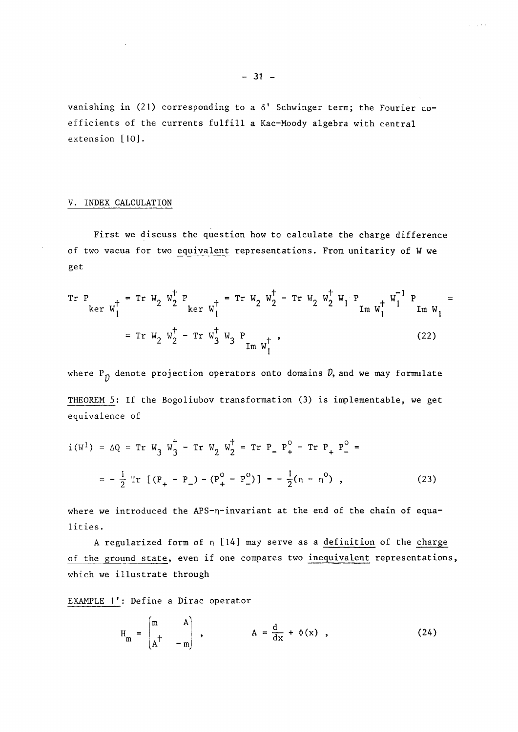vanishing in (21) corresponding to a  $\delta'$  Schwinger term; the Fourier coefficients of the currents fulfill a Kac-Moody algebra with central extension [10].

## V. INDEX CALCULATION

First we discuss the question how to calculate the charge différence of two vacua for two equivalent representations. From unitarity of W we get

$$
\begin{aligned}\n&\text{Tr } P \\
&\text{ker } w_1^+ \\
&= \text{Tr } W_2 \, w_2^+ + \text{ker } w_1^+ \\
&= \text{Tr } W_2 \, w_2^+ - \text{Tr } W_2 \, w_2^+ - \text{Tr } W_2 \, w_2^+ \, w_1^+ + \text{Im } w_1^+ \, w_1^- \\
&= \text{Tr } W_2 \, w_2^+ - \text{Tr } w_3^+ \, w_3 \, P_{\text{Im } w_1^+} \,,\n\end{aligned}
$$
\n(22)

where  $P_{\hat{D}}$  denote projection operators onto domains  $\hat{D}$ , and we may formulate THEOREM 5: If the Bogoliubov transformation (3) is implementable, we get équivalence of

$$
i(W^{1}) = \Delta Q = \text{Tr } W_{3} W_{3}^{\dagger} - \text{Tr } W_{2} W_{2}^{\dagger} = \text{Tr } P_{-} P_{+}^{0} - \text{Tr } P_{+} P_{-}^{0} =
$$

$$
= -\frac{1}{2} \text{Tr } [(P_{+} - P_{-}) - (P_{+}^{0} - P_{-}^{0})] = -\frac{1}{2} (n - n^{0}), \qquad (23)
$$

where we introduced the APS-n-invariant at the end of the chain of equalities.

A regularized form of  $n$  [14] may serve as a definition of the charge of the ground state, even if one compares two inequivalent representations, which we illustrate through

EXAMPLE 1': Define a Dirac operator

$$
H_m = \begin{pmatrix} m & A \\ A^+ & -m \end{pmatrix} , \qquad A = \frac{d}{dx} + \Phi(x) , \qquad (24)
$$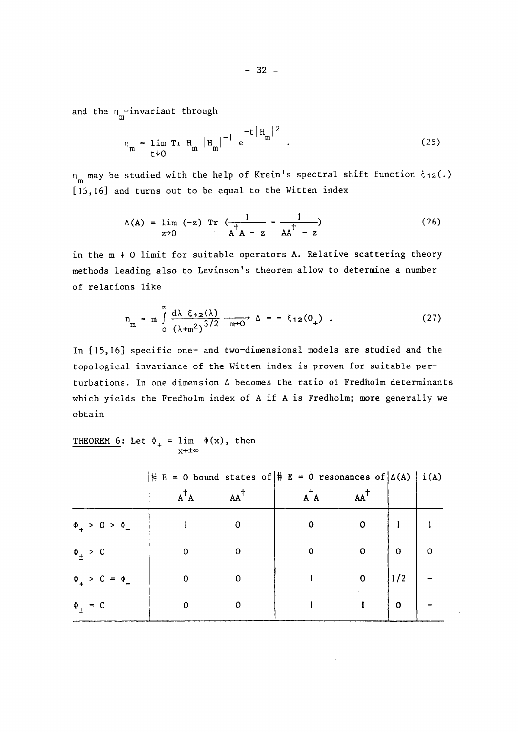and the  $n_{\rm m}^{\phantom{\dag}}$ -invariant through

$$
n_{\rm m} = \lim_{t \to 0} \text{Tr} \ H_{\rm m} |H_{\rm m}|^{-1} e^{-t |H_{\rm m}|^{2}}.
$$
 (25)

m may be studied with the help of Krein's spectral shift function ξ<sub>12</sub>(.) [15,16] and turns out to be equal to the Witten index

$$
\Delta(A) = \lim_{z \to 0} (-z) \operatorname{Tr} \left( \frac{1}{A^{\dagger} A - z} - \frac{1}{A A^{\dagger} - z} \right) \tag{26}
$$

in the  $m + 0$  limit for suitable operators A. Relative scattering theory methods leading also to Levinson's theorem allow to détermine a number of relations like

$$
n_{\rm m} = m \int_{0}^{\infty} \frac{d\lambda \xi_{12}(\lambda)}{(\lambda + m^2)^{3/2}} \frac{d\lambda}{m^2 0} \Delta = -\xi_{12}(0_+)
$$
 (27)

In [15,16] specific one- and two-dimensional models are studied and the topological invariance of the Witten index is proven for suitable perturbations. In one dimension  $\Delta$  becomes the ratio of Fredholm determinants which yields the Fredholm index of A if A is Fredholm; more generally we obtain

THEOREM 6: Let  $\Phi_+$  = lim  $\Phi(x)$ , then x->±°°

|                         | $\vert \sharp \vert E = 0$ bound states of $\vert \sharp \vert E = 0$ resonances of $\vert \Delta(A) \vert i(A)$ |                |                |                |             |                         |
|-------------------------|------------------------------------------------------------------------------------------------------------------|----------------|----------------|----------------|-------------|-------------------------|
|                         | $A^{\dagger}A$                                                                                                   | $AA^{\dagger}$ | $A^{\dagger}A$ | $AA^{\dagger}$ |             |                         |
| $\Phi_+$ > 0 > $\Phi_-$ |                                                                                                                  | $\Omega$       | $\mathbf 0$    | $\mathbf 0$    |             |                         |
| $\Phi_{\pm} > 0$        | $\Omega$                                                                                                         | 0              | $\mathbf 0$    | $\overline{0}$ | 0           | $\overline{\mathbf{0}}$ |
| $\Phi_+ > 0 = \Phi_-$   | $\mathbf 0$                                                                                                      | $\Omega$       |                | $\mathbf{0}$   | $\vert$ 1/2 |                         |
| $\Phi_{\pm} = 0$        | 0                                                                                                                |                |                |                | $\mathbf 0$ |                         |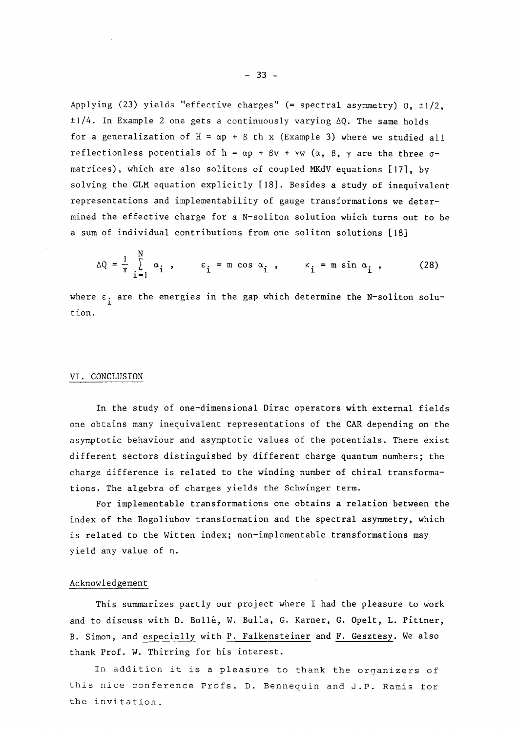Applying (23) yields "effective charges" (= spectral asymmetry)  $0, \pm 1/2,$  $\pm 1/4$ . In Example 2 one gets a continuously varying  $\Delta Q$ . The same holds for a generalization of  $H = \alpha p + \beta$  th x (Example 3) where we studied all reflectionless potentials of h =  $\alpha$ p +  $\beta$ v +  $\gamma$ w ( $\alpha$ ,  $\beta$ ,  $\gamma$  are the three  $\sigma$ matrices), which are also solitons of coupled MKdV equations [17], by solving the GLM équation explicitly [18]. Besides a study of inequivalent representations and implementability of gauge transformations we determined the effective charge for a N-soliton solution which turns out to be a sum of individual contributions from one soliton solutions [18]

$$
\Delta Q = \frac{1}{\pi} \sum_{i=1}^{N} \alpha_i, \qquad \epsilon_i = m \cos \alpha_i, \qquad \kappa_i = m \sin \alpha_i, \qquad (28)
$$

where  $\varepsilon_i$  are the energies in the gap which determine the N-soliton solution.

### VI. CONCLUSION

In the study of one-dimensional Dirac operators with external fields one obtains many inequivalent representations of the CAR depending on the asymptotic behaviour and asymptotic values of the potentials. There exist différent sectors distinguished by différent charge quantum numbers; the charge difference is related to the winding number of chiral transformations. The algebra of charges yields the Schwinger term.

For implementable transformations one obtains a relation between the index of the Bogoliubov transformation and the spectral asymmetry, which is related to the Witten index; non-implementable transformations may yield any value of n.

# Acknowledgement

This summarizes partly our project where I had the pleasure to work and to discuss with D. Bollé, W. Bulla, G. Karner, G. Opelt, L. Pittner, B. Simon, and especially with P. Falkensteiner and F. Gesztesy. We also thank Prof. W. Thirring for his interest.

In addition it is a pleasure to thank the organizers of this nice conférence Profs. D. Bennequin and J.P. Ramis for the invitation.